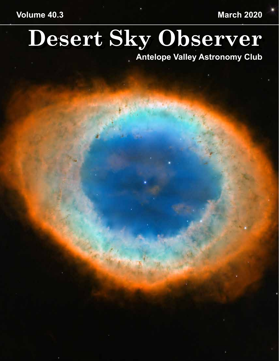# **Volume 40.3 March 2020**

# **Desert Sky Observer**

**Antelope Valley Astronomy Club**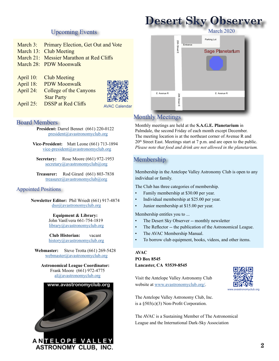## **Desert Sky Observer** March 2020

Parking Lot

Sage Planetarium

#### Upcoming Events

- March 3: Primary Election, Get Out and Vote
- March 13: Club Meeting
- March 21: Messier Marathon at Red Cliffs
- March 28: PDW Moonwalk
- April 10: Club Meeting
- April 18: PDW Moonwalk
- April 24: College of the Canyons Star Party



Board Members

**President:** Darrel Bennet (661) 220-0122 president@avastronomyclub.org

**Vice-President:** Matt Leone (661) 713-1894 vice-president@avastronomyclub.org

**Secretary:** Rose Moore (661) 972-1953 secretary@avastronomyclub@org

**Treasurer:** Rod Girard (661) 803-7838 treasurer@avastronomyclub@org

#### Appointed Positions

**Newsletter Editor:** Phil Wriedt (661) 917-4874 dso@avastronomyclub.org

> **Equipment & Library:** John VanEvera 661-754-1819 library@avastronomyclub.org

> **Club Historian:** vacant history@avastronomyclub.org

**Webmaster:** Steve Trotta (661) 269-5428 webmaster@avastronomyclub.org

**Astronomical League Coordinator:** Frank Moore (661) 972-4775 al@avastronomyclub.org

# www.avastronomyclub.org

ANTELOPE VALLEY **ASTRONOMY CLUB, INC.** 

#### Monthly Meetings

Monthly meetings are held at the **S.A.G.E. Planetarium** in Palmdale, the second Friday of each month except December. The meeting location is at the northeast corner of Avenue R and 20<sup>th</sup> Street East. Meetings start at 7 p.m. and are open to the public. *Please note that food and drink are not allowed in the planetarium.*

Entrance<br>
E Avenue R<br>
E Avenue R<br>
E Avenue R<br>
P<br>
E Avenue R<br>
P<br>
E Avenue R<br>
P<br>
B<br>
E Avenue R<br>
P<br>
B<br>
E Avenue R

Entrance

#### Membership

Membership in the Antelope Valley Astronomy Club is open to any individual or family.

The Club has three categories of membership.

- Family membership at \$30.00 per year.
- Individual membership at \$25.00 per year.
- Junior membership at \$15.00 per year.

Membership entitles you to ...

- The Desert Sky Observer -- monthly newsletter
- The Reflector -- the publication of the Astronomical League.
- The AVAC Membership Manual.
- To borrow club equipment, books, videos, and other items.

#### **AVAC**

#### **PO Box 8545 Lancaster, CA 93539-8545**

Visit the Antelope Valley Astronomy Club website at [www.avastronomyclub.org/](http://www.avastronomyclub.org/).



The Antelope Valley Astronomy Club, Inc. is a §503(c)(3) Non-Profit Corporation.

The AVAC is a Sustaining Member of The Astronomical League and the International Dark-Sky Association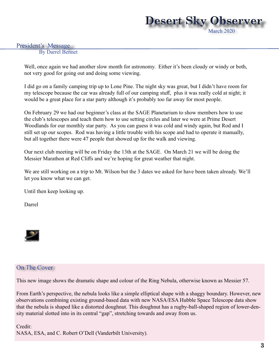

#### President's Message

By Darrel Bennet

Well, once again we had another slow month for astronomy. Either it's been cloudy or windy or both, not very good for going out and doing some viewing.

I did go on a family camping trip up to Lone Pine. The night sky was great, but I didn't have room for my telescope because the car was already full of our camping stuff, plus it was really cold at night; it would be a great place for a star party although it's probably too far away for most people.

On February 29 we had our beginner's class at the SAGE Planetarium to show members how to use the club's telescopes and teach them how to use setting circles and later we were at Prime Desert Woodlands for our monthly star party. As you can guess it was cold and windy again, but Rod and I still set up our scopes. Rod was having a little trouble with his scope and had to operate it manually, but all together there were 47 people that showed up for the walk and viewing.

Our next club meeting will be on Friday the 13th at the SAGE. On March 21 we will be doing the Messier Marathon at Red Cliffs and we're hoping for great weather that night.

We are still working on a trip to Mt. Wilson but the 3 dates we asked for have been taken already. We'll let you know what we can get.

Until then keep looking up.

Darrel



#### On The Cover

This new image shows the dramatic shape and colour of the Ring Nebula, otherwise known as Messier 57.

From Earth's perspective, the nebula looks like a simple elliptical shape with a shaggy boundary. However, new observations combining existing ground-based data with new NASA/ESA Hubble Space Telescope data show that the nebula is shaped like a distorted doughnut. This doughnut has a rugby-ball-shaped region of lower-density material slotted into in its central "gap", stretching towards and away from us.

Credit: NASA, ESA, and C. Robert O'Dell (Vanderbilt University).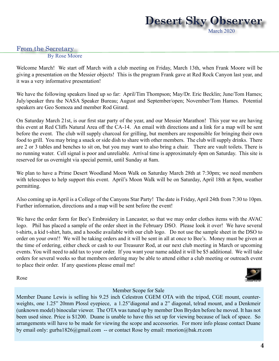

#### From the Secretary

By Rose Moore

Welcome March! We start off March with a club meeting on Friday, March 13th, when Frank Moore will be giving a presentation on the Messier objects! This is the program Frank gave at Red Rock Canyon last year, and it was a very informative presentation!

We have the following speakers lined up so far: April/Tim Thompson; May/Dr. Eric Becklin; June/Tom Hames; July/speaker thru the NASA Speaker Bureau; August and September/open; November/Tom Hames. Potential speakers are Geo Somoza and member Rod Girard.

On Saturday March 21st, is our first star party of the year, and our Messier Marathon! This year we are having this event at Red Cliffs Natural Area off the CA-14. An email with directions and a link for a map will be sent before the event. The club will supply charcoal for grilling, but members are responsible for bringing their own food to grill. You may bring a snack or side dish to share with other members. The club will supply drinks. There are 2 or 3 tables and benches to sit on, but you may want to also bring a chair. There are vault toilets. There is no running water. Cell signal is poor and unreliable. Arrival time is approximately 4pm on Saturday. This site is reserved for us overnight via special permit, until Sunday at 8am.

We plan to have a Prime Desert Woodland Moon Walk on Saturday March 28th at 7:30pm; we need members with telescopes to help support this event. April's Moon Walk will be on Saturday, April 18th at 8pm, weather permitting.

Also coming up in April is a College of the Canyons Star Party! The date is Friday, April 24th from 7:30 to 10pm. Further information, directions and a map will be sent before the event!

We have the order form for Bee's Embroidery in Lancaster, so that we may order clothes items with the AVAC logo. Phil has placed a sample of the order sheet in the February DSO. Please look it over! We have several t-shirts, a kid t-shirt, hats, and a hoodie available with our club logo. Do not use the sample sheet in the DSO to order on your own!! We will be taking orders and it will be sent in all at once to Bee's. Money must be given at the time of ordering, either check or cash to our Treasurer Rod, at our next club meeting in March or upcoming events. You will need to add tax to your order. If you want your name added it will be \$5 additional. We will take orders for several weeks so that members ordering may be able to attend either a club meeting or outreach event to place their order. If any questions please email me!

Rose

#### Member Scope for Sale

Member Duane Lewis is selling his 9.25 inch Celestron CGEM OTA with the tripod, CGE mount, counterweights, one 1.25" 20mm Plossl eyepiece, a 1.25"diagonal and a 2" diagonal, telrad mount, and a Denkmeir (unknown model) binocular viewer. The OTA was tuned up by member Don Bryden before he moved. It has not been used since. Price is \$1200. Duane is unable to have this set up for viewing because of lack of space. So arrangements will have to be made for viewing the scope and accessories. For more info please contact Duane by email only: gurba1826@gmail.com -- or contact Rose by email: rmorion@bak.rr.com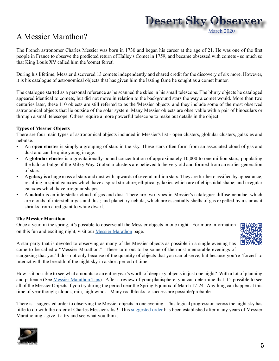# **Desert Sky Observer** March 2020

# A Messier Marathon?

The French astronomer Charles Messier was born in 1730 and began his career at the age of 21. He was one of the first people in France to observe the predicted return of Halley's Comet in 1759, and became obsessed with comets - so much so that King Louis XV called him the 'comet ferret'.

During his lifetime, Messier discovered 13 comets independently and shared credit for the discovery of six more. However, it is his catalogue of astronomical objects that has given him the lasting fame he sought as a comet hunter.

The catalogue started as a personal reference as he scanned the skies in his small telescope. The blurry objects he cataloged appeared identical to comets, but did not move in relation to the background stars the way a comet would. More than two centuries later, these 110 objects are still referred to as the 'Messier objects' and they include some of the most observed astronomical objects that lie outside of the solar system. Many Messier objects are observable with a pair of binoculars or through a small telescope. Others require a more powerful telescope to make out details in the object.

#### **Types of Messier Objects**

There are four main types of astronomical objects included in Messier's list - open clusters, globular clusters, galaxies and nebulae.

- An **open cluster** is simply a grouping of stars in the sky. These stars often form from an associated cloud of gas and dust and can be quite young in age.
- A **globular cluster** is a gravitationally-bound concentration of approximately 10,000 to one million stars, populating the halo or bulge of the Milky Way. Globular clusters are believed to be very old and formed from an earlier generation of stars.
- A **galaxy** is a huge mass of stars and dust with upwards of several million stars. They are further classified by appearance, resulting in spiral galaxies which have a spiral structure; elliptical galaxies which are of ellipsoidal shape; and irregular galaxies which have irregular shapes.
- A **nebula** is an interstellar cloud of gas and dust. There are two types in Messier's catalogue: diffuse nebulae, which are clouds of interstellar gas and dust; and planetary nebula, which are essentially shells of gas expelled by a star as it shrinks from a red giant to white dwarf.

#### **The Messier Marathon**

Once a year, in the spring, it's possible to observe all the Messier objects in one night. For more information on this fun and exciting night, visit our [Messier Marathon](http://www.avastronomyclub.org/links-5/observing/messier.html) page.



A star party that is devoted to observing as many of the Messier objects as possible in a single evening has come to be called a "Messier Marathon." These turn out to be some of the most memorable evenings of

stargazing that you'll do - not only because of the quantity of objects that you can observe, but because you're 'forced' to interact with the breadth of the night sky in a short period of time.

How is it possible to see what amounts to an entire year's worth of deep sky objects in just one night? With a lot of planning and patience (See [Messier Marathon Tips\)](http://www.avastronomyclub.org/links-5/observing/messier/10-links/observing/29-marathon-tips.html). After a review of your planisphere, you can determine that it's possible to see all of the Messier Objects if you try during the period near the Spring Equinox of March 17-24. Anything can happen at this time of year though; clouds, rain, high winds. Many roadblocks to success are possible/probable.

There is a suggested order to observing the Messier objects in one evening. This logical progression across the night sky has little to do with the order of Charles Messier's list! This [suggested order](http://www.avastronomyclub.org/links-5/observing/messier/10-links/observing/30-marathon-order.html) has been established after many years of Messier Marathoning - give it a try and see what you think.

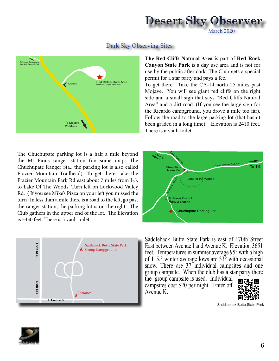

#### Dark Sky Observing Sites



**The Red Cliffs Natural Area** is part of **Red Rock Canyon State Park** is a day use area and is not for use by the public after dark. The Club gets a special permit for a star party and pays a fee.

To get there: Take the CA-14 north 25 miles past Mojave. You will see giant red cliffs on the right side and a small sign that says "Red Cliffs Natural Area" and a dirt road. (If you see the large sign for the Ricardo campground, you drove a mile too far). Follow the road to the large parking lot (that hasn't been graded in a long time). Elevation is 2410 feet. There is a vault toilet.

The Chuchupate parking lot is a half a mile beyond the Mt Pions ranger station (on some maps The Chuchupate Ranger Sta., the parking lot is also called Frazier Mountain Trailhead). To get there, take the Frazier Mountain Park Rd east about 7 miles from I-5, to Lake Of The Woods, Turn left on Lockwood Valley Rd. ( If you see Mike's Pizza on your left you missed the turn) In less than a mile there is a road to the left, go past the ranger station, the parking lot is on the right. The Club gathers in the upper end of the lot. The Elevation is 5430 feet. There is a vault toilet.



Frazier Mountain Park Rd To I-5 Chuchupate Parking Lot Mt Pinos District nger Station Cuddy Valley Rd To Mt Pinos Lockway Valley Rd Lake of the Woods Mike's Pizza Market Deli

Saddleback Butte State Park is east of 170th Street East between Avenue I and Avenue K. Elevation 3651 feet. Temperatures in summer average 95° with a high of 115, $\degree$  winter average lows are 33 $\degree$  with occasional snow. There are 37 individual campsites and one group campsite. When the club has a star party there

the group campsite is used. Individual campsites cost \$20 per night. Enter off Avenue K.



Saddleback Butte State Park

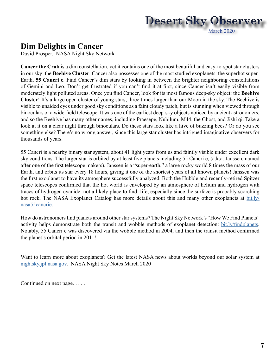

# **Dim Delights in Cancer**

David Prosper, NASA Night Sky Network

**Cancer the Crab** is a dim constellation, yet it contains one of the most beautiful and easy-to-spot star clusters in our sky: the **Beehive Cluster**. Cancer also possesses one of the most studied exoplanets: the superhot super-Earth, **55 Cancri e**. Find Cancer's dim stars by looking in between the brighter neighboring constellations of Gemini and Leo. Don't get frustrated if you can't find it at first, since Cancer isn't easily visible from moderately light polluted areas. Once you find Cancer, look for its most famous deep-sky object: the **Beehive Cluster**! It's a large open cluster of young stars, three times larger than our Moon in the sky. The Beehive is visible to unaided eyes under good sky conditions as a faint cloudy patch, but is stunning when viewed through binoculars or a wide-field telescope. It was one of the earliest deep-sky objects noticed by ancient astronomers, and so the Beehive has many other names, including Praesepe, Nubilum, M44, the Ghost, and Jishi qi. Take a look at it on a clear night through binoculars. Do these stars look like a hive of buzzing bees? Or do you see something else? There's no wrong answer, since this large star cluster has intrigued imaginative observers for thousands of years.

55 Cancri is a nearby binary star system, about 41 light years from us and faintly visible under excellent dark sky conditions. The larger star is orbited by at least five planets including 55 Cancri e, (a.k.a. Janssen, named after one of the first telescope makers). Janssen is a "super-earth," a large rocky world 8 times the mass of our Earth, and orbits its star every 18 hours, giving it one of the shortest years of all known planets! Janssen was the first exoplanet to have its atmosphere successfully analyzed. Both the Hubble and recently-retired Spitzer space telescopes confirmed that the hot world is enveloped by an atmosphere of helium and hydrogen with traces of hydrogen cyanide: not a likely place to find life, especially since the surface is probably scorching hot rock. The NASA Exoplanet Catalog has more details about this and many other exoplanets at [bit.ly/](http://bit.ly/nasa55cancrie) [nasa55cancrie](http://bit.ly/nasa55cancrie).

How do astronomers find planets around other star systems? The Night Sky Network's "How We Find Planets" activity helps demonstrate both the transit and wobble methods of exoplanet detection: [bit.ly/findplanets](http://bit.ly/findplanets). Notably, 55 Cancri e was discovered via the wobble method in 2004, and then the transit method confirmed the planet's orbital period in 2011!

Want to learn more about exoplanets? Get the latest NASA news about worlds beyond our solar system at [nightsky.jpl.nasa.gov](http://nightsky.jpl.nasa.gov). NASA Night Sky Notes March 2020

Continued on next page. . . . .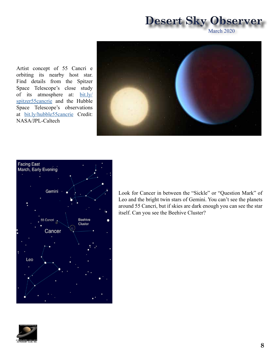March 2020

Artist concept of 55 Cancri e orbiting its nearby host star. Find details from the Spitzer Space Telescope's close study of its atmosphere at: [bit.ly/](http://bit.ly/spitzer55cancrie) [spitzer55cancrie](http://bit.ly/spitzer55cancrie) and the Hubble Space Telescope's observations at [bit.ly/hubble55cancrie](http://bit.ly/hubble55cancrie) Credit: NASA/JPL-Caltech





Look for Cancer in between the "Sickle" or "Question Mark" of Leo and the bright twin stars of Gemini. You can't see the planets around 55 Cancri, but if skies are dark enough you can see the star itself. Can you see the Beehive Cluster?

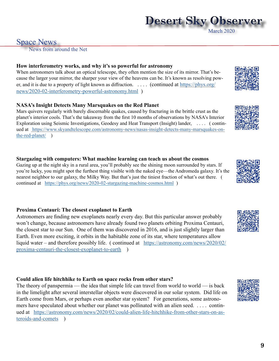### Space News

News from around the Net

#### **How interferometry works, and why it's so powerful for astronomy**

When astronomers talk about an optical telescope, they often mention the size of its mirror. That's because the larger your mirror, the sharper your view of the heavens can be. It's known as resolving power, and it is due to a property of light known as diffraction. . . . . (continued at [https://phys.org/](https://phys.org/news/2020-02-interferometry-powerful-astronomy.html) [news/2020-02-interferometry-powerful-astronomy.html](https://phys.org/news/2020-02-interferometry-powerful-astronomy.html) )

#### **NASA's Insight Detects Many Marsquakes on the Red Planet**

Mars quivers regularly with barely discernable quakes, caused by fracturing in the brittle crust as the planet's interior cools. That's the takeaway from the first 10 months of observations by NASA's Interior Exploration using Seismic Investigations, Geodesy and Heat Transport (Insight) lander, . . . . ( continued at [https://www.skyandtelescope.com/astronomy-news/nasas-insight-detects-many-marsquakes-on]( https://www.skyandtelescope.com/astronomy-news/nasas-insight-detects-many-marsquakes-on-the-red-planet/)[the-red-planet/]( https://www.skyandtelescope.com/astronomy-news/nasas-insight-detects-many-marsquakes-on-the-red-planet/) )

#### **Stargazing with computers: What machine learning can teach us about the cosmos**

Gazing up at the night sky in a rural area, you'll probably see the shining moon surrounded by stars. If you're lucky, you might spot the furthest thing visible with the naked eye—the Andromeda galaxy. It's the nearest neighbor to our galaxy, the Milky Way. But that's just the tiniest fraction of what's out there. ( continued at <https://phys.org/news/2020-02-stargazing-machine-cosmos.html> )

#### **Proxima Centauri: The closest exoplanet to Earth**

Astronomers are finding new exoplanets nearly every day. But this particular answer probably won't change, because astronomers have already found two planets orbiting Proxima Centauri, the closest star to our Sun. One of them was discovered in 2016, and is just slightly larger than Earth. Even more exciting, it orbits in the habitable zone of its star, where temperatures allow liquid water – and therefore possibly life. ( continued at [https://astronomy.com/news/2020/02/](https://astronomy.com/news/2020/02/proxima-centauri-the-closest-exoplanet-to-earth) [proxima-centauri-the-closest-exoplanet-to-earth](https://astronomy.com/news/2020/02/proxima-centauri-the-closest-exoplanet-to-earth) )

#### **Could alien life hitchhike to Earth on space rocks from other stars?**

The theory of panspermia — the idea that simple life can travel from world to world — is back in the limelight after several interstellar objects were discovered in our solar system. Did life on Earth come from Mars, or perhaps even another star system? For generations, some astronomers have speculated about whether our planet was pollinated with an alien seed. . . . . continued at [https://astronomy.com/news/2020/02/could-alien-life-hitchhike-from-other-stars-on-as](https://astronomy.com/news/2020/02/could-alien-life-hitchhike-from-other-stars-on-asteroids-and-comets)[teroids-and-comets](https://astronomy.com/news/2020/02/could-alien-life-hitchhike-from-other-stars-on-asteroids-and-comets) )

# **Desert Sky Observer** March 2020









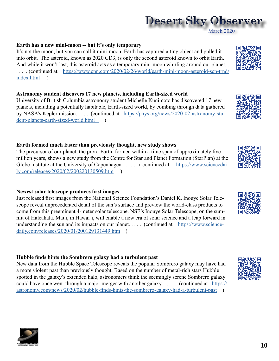#### **Earth has a new mini-moon -- but it's only temporary**

It's not the moon, but you can call it mini-moon. Earth has captured a tiny object and pulled it into orbit. The asteroid, known as 2020 CD3, is only the second asteroid known to orbit Earth. And while it won't last, this asteroid acts as a temporary mini-moon whirling around our planet. . . . . . (continued at [https://www.cnn.com/2020/02/26/world/earth-mini-moon-asteroid-scn-trnd/](https://www.cnn.com/2020/02/26/world/earth-mini-moon-asteroid-scn-trnd/index.html ) [index.html](https://www.cnn.com/2020/02/26/world/earth-mini-moon-asteroid-scn-trnd/index.html ) )

#### **Astronomy student discovers 17 new planets, including Earth-sized world**

University of British Columbia astronomy student Michelle Kunimoto has discovered 17 new planets, including a potentially habitable, Earth-sized world, by combing through data gathered by NASA's Kepler mission. . . . . (continued at [https://phys.org/news/2020-02-astronomy-stu](https://phys.org/news/2020-02-astronomy-student-planets-earth-sized-world.html   )[dent-planets-earth-sized-world.html](https://phys.org/news/2020-02-astronomy-student-planets-earth-sized-world.html   ) )

#### **Earth formed much faster than previously thought, new study shows**

The precursor of our planet, the proto-Earth, formed within a time span of approximately five million years, shows a new study from the Centre for Star and Planet Formation (StarPlan) at the Globe Institute at the University of Copenhagen. ..... (continued at [https://www.sciencedai]( https://www.sciencedaily.com/releases/2020/02/200220130509.htm)[ly.com/releases/2020/02/200220130509.htm]( https://www.sciencedaily.com/releases/2020/02/200220130509.htm) )

#### **Newest solar telescope produces first images**

Just released first images from the National Science Foundation's Daniel K. Inouye Solar Telescope reveal unprecedented detail of the sun's surface and preview the world-class products to come from this preeminent 4-meter solar telescope. NSF's Inouye Solar Telescope, on the summit of Haleakala, Maui, in Hawai'i, will enable a new era of solar science and a leap forward in understanding the sun and its impacts on our planet. . . . . (continued at [https://www.science]( https://www.sciencedaily.com/releases/2020/01/200129131449.htm)[daily.com/releases/2020/01/200129131449.htm]( https://www.sciencedaily.com/releases/2020/01/200129131449.htm) )

#### **Hubble finds hints the Sombrero galaxy had a turbulent past**

New data from the Hubble Space Telescope reveals the popular Sombrero galaxy may have had a more violent past than previously thought. Based on the number of metal-rich stars Hubble spotted in the galaxy's extended halo, astronomers think the seemingly serene Sombrero galaxy could have once went through a major merger with another galaxy. .... (continued at [https://]( https://astronomy.com/news/2020/02/hubble-finds-hints-the-sombrero-galaxy-had-a-turbulent-past) [astronomy.com/news/2020/02/hubble-finds-hints-the-sombrero-galaxy-had-a-turbulent-past]( https://astronomy.com/news/2020/02/hubble-finds-hints-the-sombrero-galaxy-had-a-turbulent-past) )











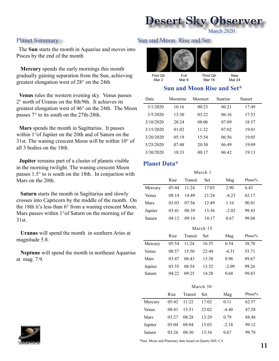March 2020

 The **Sun** starts the month in Aquarius and moves into Pisces by the end of the month

 **Mercury** spends the early mornings this month gradually gaining separation from the Sun, achieving greatest elongation west of 28° on the 24th

 **Venus** rules the western evening sky. Venus passes 2° north of Uranus on the 8th/9th. It achieves its greatest elongation west of 46° on the 24th. The Moon passes 7° to its south on the 27th-28th.

 **Mars** spends the month in Sagittarius. It passes within 1°of Jupiter on the 20th and of Saturn on the 31st. The waning crescent Moon will be within 10° of all 3 bodies on the 18th

 **Jupiter** remains part of a cluster of planets visible in the morning twilight. The waning crescent Moon passes 1.5° to is south on the 18th. In conjuction with Mars on the 20th.

 **Saturn** starts the month in Sagittarius and slowly crosses into Capricorn by the middle of the month. On the 18th it's less than 6° from a waning crescent Moon. Mars passes within 1°of Saturn on the morning of the 31st.

 **Uranus** will spend the month in southern Aries at magnitude 5.8.

 **Neptune** will spend the month in northeast Aquarius at mag. 7.9.

#### Planet Summary Sun and Moon Rise and Set



#### **Sun and Moon Rise and Set\***

| Date      | Moonrise | Moonset | Sunrise | Sunset |
|-----------|----------|---------|---------|--------|
| 3/1/2020  | 10:16    | 00:23   | 06:21   | 17:49  |
| 3/5/2020  | 13:30    | 03:22   | 06:16   | 17:53  |
| 3/10/2020 | 20:24    | 08:06   | 07:09   | 18:57  |
| 3/15/2020 | 01:02    | 11.22   | 07:02   | 19:01  |
| 3/20/2020 | 05:19    | 15:54   | 06:56   | 19:05  |
| 3/25/2020 | 07:48    | 20:30   | 06:49   | 19:09  |
| 3/30/2020 | 10:33    | 00:17   | 06:42   | 19:13  |

#### **Planet Data\***

| March 1      |       |         |       |         |           |  |  |  |  |
|--------------|-------|---------|-------|---------|-----------|--|--|--|--|
|              | Rise  | Transit | Set   | Mag     | Phase $%$ |  |  |  |  |
| Mercury      | 05:44 | 11:24   | 17:03 | 2.90    | 6.43      |  |  |  |  |
| <b>Venus</b> | 08:14 | 14:49   | 21:24 | $-4.23$ | 62.17     |  |  |  |  |
| Mars         | 03:03 | 07:56   | 12:49 | 1.16    | 90.81     |  |  |  |  |
| Jupiter      | 03:41 | 08:39   | 13:36 | $-2.02$ | 99.43     |  |  |  |  |
| Saturn       | 04:12 | 09:14   | 14:17 | 0.67    | 99.88     |  |  |  |  |
| $M$ orob 15  |       |         |       |         |           |  |  |  |  |

|         | IVIAI VII IJ |         |       |         |        |  |  |  |  |
|---------|--------------|---------|-------|---------|--------|--|--|--|--|
|         | Rise         | Transit | Set   | Mag     | Phase% |  |  |  |  |
| Mercury | 05:54        | 11:24   | 16:55 | 0.54    | 38.70  |  |  |  |  |
| Venus   | 08:57        | 15:50   | 22:44 | $-4.31$ | 55.71  |  |  |  |  |
| Mars    | 03:47        | 08:43   | 13:38 | 0.96    | 89.67  |  |  |  |  |
| Jupiter | 03:55        | 08:54   | 13:52 | $-2.09$ | 99.26  |  |  |  |  |
| Saturn  | 04:22        | 09:25   | 14:28 | 0.68    | 99.83  |  |  |  |  |

| March 30 |       |         |            |         |        |  |  |  |  |
|----------|-------|---------|------------|---------|--------|--|--|--|--|
|          | Rise  | Transit | <b>Set</b> | Mag     | Phase% |  |  |  |  |
| Mercury  | 05:42 | 11:22   | 17:02      | 0.11    | 62.57  |  |  |  |  |
| Venus    | 08:41 | 15:51   | 23:02      | $-4.40$ | 47.58  |  |  |  |  |
| Mars     | 03:27 | 08:28   | 13:29      | 0.79    | 88.48  |  |  |  |  |
| Jupiter  | 03:04 | 08:04   | 13:03      | $-2.18$ | 99.12  |  |  |  |  |
| Saturn   | 03:26 | 08:30   | 13:34      | 0.67    | 99.78  |  |  |  |  |

\*Sun, Moon and Planetary date based on Quartz Hill, CA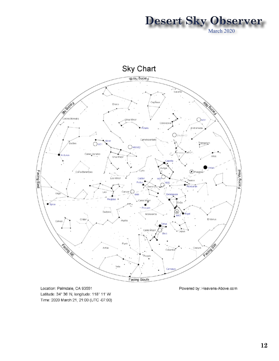



Location: Palmdale, CA 93551 Latitude: 34° 36' N, longitude: 118° 11' W Time: 2020 March 21, 21:00 (UTC -07:00)

Powered by: Heavens-Above.com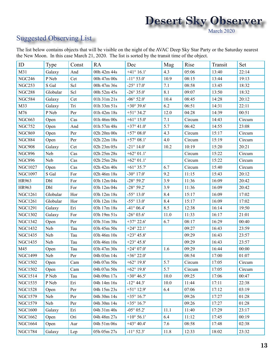## **Desert Sky Observer** March 2020

### Suggested Observing List

The list below contains objects that will be visible on the night of the AVAC Deep Sky Star Party or the Saturday nearest the New Moon. In this case March 21, 2020. The list is sorted by the transit time of the object.

| ID             | Type     | Const | <b>RA</b>   | Dec                 | Mag  | Rise   | Transit | Set    |
|----------------|----------|-------|-------------|---------------------|------|--------|---------|--------|
| M31            | Galaxy   | And   | 00h 42m 44s | $+41^{\circ} 16.1'$ | 4.3  | 05:06  | 13:40   | 22:14  |
| <b>NGC246</b>  | P Neb    | Cet   | 00h 47m 00s | $-11^{\circ} 53.0'$ | 10.9 | 08:15  | 13:44   | 19:13  |
| <b>NGC253</b>  | S Gal    | Scl   | 00h 47m 36s | $-25^{\circ}$ 17.0' | 7.1  | 08:58  | 13:45   | 18:32  |
| <b>NGC288</b>  | Globular | Scl   | 00h 52m 45s | $-26^{\circ} 35.0'$ | 8.1  | 09:07  | 13:50   | 18:32  |
| <b>NGC584</b>  | Galaxy   | Cet   | 01h 31m 21s | $-06^{\circ} 52.0'$ | 10.4 | 08:45  | 14:28   | 20:12  |
| M33            | Galaxy   | Tri   | 01h 33m 51s | $+30^{\circ} 39.6'$ | 6.2  | 06:51  | 14:31   | 22:11  |
| M76            | P Neb    | Per   | 01h 42m 18s | $+51^{\circ} 34.2'$ | 12.0 | 04:28  | 14:39   | 00:51  |
| <b>NGC663</b>  | Open     | Cas   | 01h 46m 00s | $+61^{\circ} 15.0'$ | 7.1  | Circum | 14:43   | Circum |
| <b>NGC752</b>  | Open     | And   | 01h 57m 48s | $+37^{\circ}$ 41.0' | 5.7  | 06:42  | 14:55   | 23:08  |
| <b>NGC869</b>  | Open     | Per   | 02h 20m 00s | $+57^{\circ} 08.0'$ | 4.3  | Circum | 15:17   | Circum |
| <b>NGC884</b>  | Open     | Per   | 02h 22m 18s | $+57^{\circ} 08.1'$ | 4.0  | Circum | 15:19   | Circum |
| <b>NGC908</b>  | Galaxy   | Cet   | 02h 23m 05s | $-21^{\circ} 14.0'$ | 10.2 | 10:19  | 15:20   | 20:21  |
| <b>NGC896</b>  | Neb      | Cas   | 02h 25m 28s | $+62^{\circ} 01.1'$ |      | Circum | 15:22   | Circum |
| <b>NGC896</b>  | Neb      | Cas   | 02h 25m 28s | $+62^{\circ} 01.1'$ |      | Circum | 15:22   | Circum |
| <b>NGC1027</b> | Open     | Cas   | 02h 42m 40s | $+61^{\circ}35.7'$  | 6.7  | Circum | 15:40   | Circum |
| <b>NGC1097</b> | S Gal    | For   | 02h 46m 18s | $-30^{\circ}$ 17.0' | 9.2  | 11:15  | 15:43   | 20:12  |
| HR963          | Dbl      | For   | 03h 12m 04s | $-28^{\circ} 59.2'$ | 3.9  | 11:36  | 16:09   | 20:42  |
| HR963          | Dbl      | For   | 03h 12m 04s | $-28^{\circ} 59.2'$ | 3.9  | 11:36  | 16:09   | 20:42  |
| <b>NGC1261</b> | Globular | Hor   | 03h 12m 18s | $-55^{\circ} 13.0'$ | 8.4  | 15:17  | 16:09   | 17:02  |
| <b>NGC1261</b> | Globular | Hor   | 03h 12m 18s | $-55^{\circ} 13.0'$ | 8.4  | 15:17  | 16:09   | 17:02  |
| <b>NGC1291</b> | Galaxy   | Eri   | 03h 17m 18s | $-41^{\circ} 06.4'$ | 8.5  | 12:38  | 16:14   | 19:50  |
| <b>NGC1302</b> | Galaxy   | For   | 03h 19m 51s | $-26^{\circ} 03.6'$ | 11.0 | 11:33  | 16:17   | 21:01  |
| <b>NGC1342</b> | Open     | Per   | 03h 31m 38s | $+37^{\circ} 22.6'$ | 6.7  | 08:17  | 16:29   | 00:40  |
| <b>NGC1432</b> | Neb      | Tau   | 03h 45m 50s | $+24^{\circ} 22.1'$ |      | 09:27  | 16:43   | 23:59  |
| <b>NGC1435</b> | Neb      | Tau   | 03h 46m 10s | $+23^{\circ} 45.8'$ |      | 09:29  | 16:43   | 23:57  |
| <b>NGC1435</b> | Neb      | Tau   | 03h 46m 10s | $+23^{\circ} 45.8'$ |      | 09:29  | 16:43   | 23:57  |
| M45            | Open     | Tau   | 03h 47m 30s | $+24^{\circ} 07.0'$ | 1.6  | 09:29  | 16:44   | 00:00  |
| <b>NGC1499</b> | Neb      | Per   | 04h 03m 14s | $+36^{\circ} 22.0'$ |      | 08:54  | 17:00   | 01:07  |
| <b>NGC1502</b> | Open     | Cam   | 04h 07m 50s | $+62^{\circ} 19.8'$ | 5.7  | Circum | 17:05   | Circum |
| <b>NGC1502</b> | Open     | Cam   | 04h 07m 50s | $+62^{\circ} 19.8'$ | 5.7  | Circum | 17:05   | Circum |
| <b>NGC1514</b> | P Neb    | Tau   | 04h 09m 17s | $+30^{\circ} 46.5'$ | 10.0 | 09:25  | 17:06   | 00:47  |
| <b>NGC1535</b> | P Neb    | Eri   | 04h 14m 16s | $-12^{\circ}$ 44.3' | 10.0 | 11:44  | 17:11   | 22:38  |
| <b>NGC1528</b> | Open     | Per   | 04h 15m 23s | $+51^{\circ} 12.9'$ | 6.4  | 07:06  | 17:12   | 03:19  |
| <b>NGC1579</b> | Neb      | Per   | 04h 30m 14s | $+35^{\circ} 16.7'$ |      | 09:26  | 17:27   | 01:28  |
| NGC1579        | Neb      | Per   | 04h 30m 14s | $+35^{\circ} 16.7'$ |      | 09:26  | 17:27   | 01:28  |
| <b>NGC1600</b> | Galaxy   | Eri   | 04h 31m 40s | $-05^{\circ} 05.2'$ | 11.1 | 11:40  | 17:29   | 23:17  |
| <b>NGC1662</b> | Open     | Ori   | 04h 48m 27s | $+10^{\circ} 56.1'$ | 6.4  | 11:12  | 17:45   | 00:19  |
| <b>NGC1664</b> | Open     | Aur   | 04h 51m 06s | $+43^{\circ} 40.4'$ | 7.6  | 08:58  | 17:48   | 02:38  |
| <b>NGC1784</b> | Galaxy   | Lep   | 05h 05m 27s | $-11^{\circ} 52.3'$ | 11.8 | 12:33  | 18:02   | 23:32  |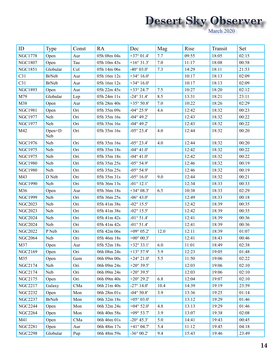| ID              | Type          | Const | <b>RA</b>   | Dec                  | Mag  | Rise  | Transit | Set   |
|-----------------|---------------|-------|-------------|----------------------|------|-------|---------|-------|
| <b>NGC1778</b>  | Open          | Aur   | 05h 08m 04s | $+37^{\circ} 01.4'$  | 7.7  | 09:55 | 18:05   | 02:15 |
| <b>NGC1807</b>  | Open          | Tau   | 05h 10m 43s | $+16^{\circ}31.3'$   | 7.0  | 11:17 | 18:08   | 00:58 |
| <b>NGC1851</b>  | Globular      | Col   | 05h 14m 06s | $-40^{\circ} 03.0'$  | 7.3  | 14:29 | 18:11   | 21:53 |
| C31             | <b>BrNeb</b>  | Aur   | 05h 16m 12s | $+34^{\circ} 16.0'$  |      | 10:17 | 18:13   | 02:09 |
| C <sub>31</sub> | <b>BrNeb</b>  | Aur   | 05h 16m 12s | +34 $\degree$ 16.0'  |      | 10:17 | 18:13   | 02:09 |
| <b>NGC1893</b>  | Open          | Aur   | 05h 22m 45s | $+33^{\circ} 24.7'$  | 7.5  | 10:27 | 18:20   | 02:12 |
| M79             | Globular      | Lep   | 05h 24m 11s | $-24^{\circ}31.4'$   | 8.5  | 13:31 | 18:21   | 23:11 |
| M38             | Open          | Aur   | 05h 28m 40s | $+35^{\circ} 50.8'$  | 7.0  | 10:22 | 18:26   | 02:29 |
| <b>NGC1981</b>  | Open          | Ori   | 05h 35m 09s | $-04^{\circ} 25.9'$  | 4.6  | 12:42 | 18:32   | 00:23 |
| <b>NGC1977</b>  | Neb           | Ori   | 05h 35m 16s | $-04^{\circ}$ 49.2'  |      | 12:43 | 18:32   | 00:22 |
| <b>NGC1977</b>  | Neb           | Ori   | 05h 35m 16s | $-04^{\circ}$ 49.2'  |      | 12:43 | 18:32   | 00:22 |
| M42             | Open+D<br>Neb | Ori   | 05h 35m 16s | $-05^{\circ} 23.4'$  | 4.0  | 12:44 | 18:32   | 00:20 |
| <b>NGC1976</b>  | Neb           | Ori   | 05h 35m 16s | $-05^{\circ} 23.4'$  | 4.0  | 12:44 | 18:32   | 00:20 |
| <b>NGC1975</b>  | Neb           | Ori   | 05h 35m 18s | $-04^{\circ} 41.0'$  |      | 12:42 | 18:32   | 00:22 |
| <b>NGC1975</b>  | Neb           | Ori   | 05h 35m 18s | $-04^{\circ} 41.0'$  |      | 12:42 | 18:32   | 00:22 |
| <b>NGC1980</b>  | Neb           | Ori   | 05h 35m 25s | $-05^{\circ} 54.9'$  |      | 12:46 | 18:32   | 00:19 |
| <b>NGC1980</b>  | Neb           | Ori   | 05h 35m 25s | $-05^{\circ} 54.9'$  |      | 12:46 | 18:32   | 00:19 |
| M43             | D Neb         | Ori   | 05h 35m 31s | $-05^{\circ} 16.0'$  | 9.0  | 12:44 | 18:32   | 00:21 |
| <b>NGC1990</b>  | Neb           | Ori   | 05h 36m 13s | $-01^\circ$ 12.1'    |      | 12:34 | 18:33   | 00:33 |
| M36             | Open          | Aur   | 05h 36m 18s | $+34^{\circ} 08.3'$  | 6.5  | 10:38 | 18:33   | 02:29 |
| <b>NGC1999</b>  | Neb           | Ori   | 05h 36m 25s | $-06^{\circ} 43.0'$  |      | 12:49 | 18:33   | 00:18 |
| <b>NGC2023</b>  | Neb           | Ori   | 05h 41m 38s | $-02^{\circ} 15.5'$  |      | 12:42 | 18:39   | 00:35 |
| <b>NGC2023</b>  | Neb           | Ori   | 05h 41m 38s | $-02^{\circ} 15.5'$  |      | 12:42 | 18:39   | 00:35 |
| <b>NGC2024</b>  | Neb           | Ori   | 05h 41m 42s | $-01^{\circ} 51.4'$  |      | 12:41 | 18:39   | 00:36 |
| <b>NGC2024</b>  | Neb           | Ori   | 05h 41m 42s | $-01^{\circ} 51.4'$  |      | 12:41 | 18:39   | 00:36 |
| <b>NGC2022</b>  | P Neb         | Ori   | 05h 42m 06s | +09 $^{\circ}$ 05.2' | 12.0 | 12:11 | 18:39   | 01:07 |
| <b>NGC2064</b>  | Neb           | Ori   | 05h 46m 18s | $+00^{\circ} 00.3'$  |      | 12:41 | 18:43   | 00:46 |
| M37             | Open          | Aur   | 05h 52m 18s | $+32^{\circ}33.1'$   | 6.0  | 11:01 | 18:49   | 02:38 |
| <b>NGC2169</b>  | Open          | Ori   | 06h 08m 24s | $+13^{\circ} 57.9'$  | 5.9  | 12:23 | 19:05   | 01:48 |
| M35             | Open          | Gem   | 06h 09m 00s | $+24^{\circ} 21.0'$  | 5.5  | 11:50 | 19:06   | 02:22 |
| NGC2174         | Neb           | Ori   | 06h 09m 24s | $+20^{\circ} 39.5'$  |      | 12:03 | 19:06   | 02:10 |
| NGC2174         | Neb           | Ori   | 06h 09m 24s | $+20^{\circ} 39.5'$  |      | 12:03 | 19:06   | 02:10 |
| NGC2175         | Open          | Ori   | 06h 09m 40s | $+20^{\circ} 29.2'$  | 6.8  | 12:04 | 19:07   | 02:10 |
| <b>NGC2217</b>  | Galaxy        | CMa   | 06h 21m 40s | $-27^{\circ}$ 14.0'  | 10.4 | 14:39 | 19:19   | 23:59 |
| <b>NGC2232</b>  | Open          | Mon   | 06h 28m 01s | $-04^{\circ} 50.8'$  | 3.9  | 13:36 | 19:25   | 01:14 |
| <b>NGC2237</b>  | <b>BrNeb</b>  | Mon   | 06h 32m 18s | $+05^{\circ} 03.0'$  |      | 13:12 | 19:29   | 01:46 |
| <b>NGC2244</b>  | Open          | Mon   | 06h 32m 24s | $+04^{\circ} 52.0'$  | 4.8  | 13:13 | 19:29   | 01:46 |
| <b>NGC2264</b>  | Open          | Mon   | 06h 40m 58s | $+09^{\circ} 53.7'$  | 3.9  | 13:07 | 19:38   | 02:08 |
| M41             | Open          | CMa   | 06h 46m 01s | $-20^{\circ}$ 45.3'  | 5.0  | 14:41 | 19:43   | 00:45 |
| <b>NGC2281</b>  | Open          | Aur   | 06h 48m 17s | $+41^{\circ} 04.7'$  | 5.4  | 11:12 | 19:45   | 04:18 |
| <b>NGC2298</b>  | Globular      | Pup   | 06h 48m 59s | $-36^{\circ} 00.2'$  | 9.4  | 15:43 | 19:46   | 23:49 |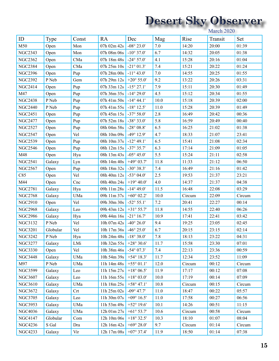| ID             | Type     | Const | <b>RA</b>                         | Dec                  | Mag  | Rise   | Transit | Set    |
|----------------|----------|-------|-----------------------------------|----------------------|------|--------|---------|--------|
| M50            | Open     | Mon   | 07h 02m 42s                       | $-08^{\circ} 23.0'$  | 7.0  | 14:20  | 20:00   | 01:39  |
| <b>NGC2343</b> | Open     | Mon   | 07h 08m 06s                       | $-10^{\circ} 37.0'$  | 6.7  | 14:32  | 20:05   | 01:38  |
| <b>NGC2362</b> | Open     | CMa   | 07h 18m 48s                       | $-24^{\circ} 57.0'$  | 4.1  | 15:28  | 20:16   | 01:04  |
| <b>NGC2384</b> | Open     | CMa   | 07h 25m 10s                       | $-21^{\circ} 01.3'$  | 7.4  | 15:21  | 20:22   | 01:24  |
| <b>NGC2396</b> | Open     | Pup   | 07h 28m 00s                       | $-11^{\circ} 43.0'$  | 7.0  | 14:55  | 20:25   | 01:55  |
| <b>NGC2392</b> | P Neb    | Gem   | 07h 29m 12s                       | $+20^{\circ} 55.0'$  | 9.2  | 13:22  | 20:26   | 03:31  |
| <b>NGC2414</b> | Open     | Pup   | 07h 33m 12s                       | $-15^{\circ} 27.1'$  | 7.9  | 15:11  | 20:30   | 01:49  |
| M47            | Open     | Pup   | 07h 36m 35s                       | $-14^{\circ} 29.0'$  | 4.5  | 15:12  | 20:34   | 01:55  |
| <b>NGC2438</b> | P Neb    | Pup   | 07h 41m 50s                       | $-14^{\circ} 44.1'$  | 10.0 | 15:18  | 20:39   | 02:00  |
| <b>NGC2440</b> | P Neb    | Pup   | 07h 41m 55s                       | $-18^{\circ} 12.5'$  | 11.0 | 15:28  | 20:39   | 01:49  |
| <b>NGC2451</b> | Open     | Pup   | $07h\ 45m\ 15s$                   | $-37^{\circ} 58.0'$  | 2.8  | 16:49  | 20:42   | 00:36  |
| <b>NGC2477</b> | Open     | Pup   | $07\mathrm{h}$ 52m $18\mathrm{s}$ | $-38^{\circ} 33.0'$  | 5.8  | 16:59  | 20:49   | 00:40  |
| <b>NGC2527</b> | Open     | Pup   | 08h 04m 58s                       | $-28^{\circ}$ 08.8'  | 6.5  | 16:25  | 21:02   | 01:38  |
| <b>NGC2547</b> | Open     | Vel   | 08h 10m 09s                       | $-49^{\circ}$ 12.9'  | 4.7  | 18:33  | 21:07   | 23:41  |
| <b>NGC2539</b> | Open     | Pup   | 08h 10m 37s                       | $-12^{\circ} 49.1'$  | 6.5  | 15:41  | 21:08   | 02:34  |
| <b>NGC2546</b> | Open     | Pup   | 08h 12m 15s                       | $-37^{\circ}35.7'$   | 6.3  | 17:14  | 21:09   | 01:05  |
| M48            | Open     | Hya   | 08h 13m 43s                       | $-05^{\circ} 45.0'$  | 5.5  | 15:24  | 21:11   | 02:58  |
| <b>NGC2541</b> | Galaxy   | Lyn   | 08h 14m 40s                       | $+49^{\circ} 03.7'$  | 11.8 | 11:33  | 21:12   | 06:50  |
| <b>NGC2567</b> | Open     | Pup   | 08h 18m 32s                       | $-30^{\circ} 38.3'$  | 7.4  | 16:49  | 21:16   | 01:42  |
| C85            | Open     | Vel   | 08h 40m 12s                       | $-53^{\circ} 04.0'$  | 2.5  | 19:53  | 21:37   | 23:21  |
| M44            | Open     | Cnc   | 08h 40m 24s                       | $+19^{\circ} 40.0'$  | 4.0  | 14:37  | 21:37   | 04:38  |
| <b>NGC2781</b> | Galaxy   | Hya   | 09h 11m 28s                       | $-14^{\circ} 49.0'$  | 11.5 | 16:48  | 22:08   | 03:29  |
| <b>NGC2768</b> | Galaxy   | UMa   | 09h 11m 37s                       | +60 $^{\circ}$ 02.2' | 10.0 | Circum | 22:09   | Circum |
| <b>NGC2910</b> | Open     | Vel   | 09h 30m 30s                       | $-52^{\circ} 55.1'$  | 7.2  | 20:41  | 22:27   | 00:14  |
| <b>NGC2968</b> | Galaxy   | Leo   | 09h 43m 12s                       | $+31^{\circ} 55.7'$  | 11.8 | 14:55  | 22:40   | 06:26  |
| <b>NGC2986</b> | Galaxy   | Hya   | 09h 44m 16s                       | $-21^{\circ} 16.7'$  | 10.9 | 17:41  | 22:41   | 03:42  |
| <b>NGC3132</b> | P Neb    | Vel   | 10h 07m 42s                       | $-40^{\circ} 26.0'$  | 9.4  | 19:25  | 23:05   | 02:45  |
| <b>NGC3201</b> | Globular | Vel   | 10h 17m 36s                       | $-46^{\circ} 25.0'$  | 6.7  | 20:15  | 23:15   | 02:14  |
| <b>NGC3242</b> | P Neb    | Hya   | 10h 24m 48s $-18^{\circ}$ 38.0'   |                      | 7.8  | 18:13  | 23:22   | 04:31  |
| <b>NGC3277</b> | Galaxy   | LMi   | 10h 32m 55s + 28° 30.6'           |                      | 11.7 | 15:58  | 23:30   | 07:01  |
| <b>NGC3330</b> | Open     | Vel   | 10h 38m 46s                       | $-54^{\circ}07.3'$   | 7.4  | 22:13  | 23:36   | 00:59  |
| <b>NGC3448</b> | Galaxy   | UMa   | 10h 54m 39s                       | $+54^{\circ} 18.3'$  | 11.7 | 12:34  | 23:52   | 11:09  |
| M97            | P Neb    | UMa   | 11h 14m 48s                       | $+55^{\circ} 01.1'$  | 12.0 | Circum | 00:12   | Circum |
| <b>NGC3599</b> | Galaxy   | Leo   | 11h 15m 27s                       | $+18^{\circ} 06.5'$  | 11.9 | 17:17  | 00:12   | 07:08  |
| <b>NGC3607</b> | Galaxy   | Leo   | 11h 16m 55s                       | $+18^{\circ} 03.0'$  | 10.0 | 17:19  | 00:14   | 07:09  |
| <b>NGC3610</b> | Galaxy   | UMa   | 11h 18m 25s                       | $+58^{\circ}$ 47.1'  | 10.8 | Circum | 00:15   | Circum |
| <b>NGC3672</b> | Galaxy   | Crt   | 11h 25m 02s                       | $-09^{\circ}$ 47.7'  | 11.0 | 18:47  | 00:22   | 05:57  |
| <b>NGC3705</b> | Galaxy   | Leo   | 11h 30m 07s                       | +09 $^{\circ}$ 16.5' | 11.0 | 17:58  | 00:27   | 06:56  |
| <b>NGC3953</b> | Galaxy   | UMa   | 11h 53m 49s                       | $+52^{\circ}$ 19.6'  | 10.1 | 14:26  | 00:51   | 11:15  |
| <b>NGC4036</b> | Galaxy   | UMa   | 12h 01m 27s                       | $+61^{\circ} 53.7'$  | 10.6 | Circum | 00:58   | Circum |
| <b>NGC4147</b> | Globular | Com   | 12h 10m 06s                       | $+18^{\circ} 32.5'$  | 10.3 | 18:10  | 01:07   | 08:04  |
| <b>NGC4236</b> | S Gal    | Dra   | 12h 16m 42s                       | +69 $^{\circ}$ 28.0' | 9.7  | Circum | 01:14   | Circum |
| <b>NGC4233</b> | Galaxy   | Vir   | 12h 17m 08s                       | $+07^{\circ} 37.4'$  | 11.9 | 18:50  | 01:14   | 07:38  |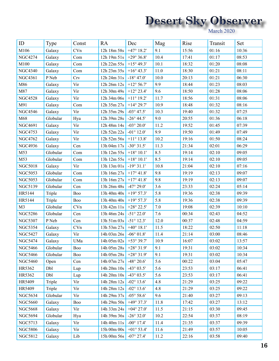| ID             | Type     | Const      | <b>RA</b>              | Dec                  | Mag      | Rise  | Transit | Set   |
|----------------|----------|------------|------------------------|----------------------|----------|-------|---------|-------|
| M106           | Galaxy   | CVn        | 12h 18m 58s            | $+47^{\circ}$ 18.2'  | 9.1      | 15:56 | 01:16   | 10:36 |
| <b>NGC4274</b> | Galaxy   | Com        | 12h 19m 51s            | $+29^{\circ} 36.8'$  | 10.4     | 17:41 | 01:17   | 08:53 |
| M100           | Galaxy   | Com        | 12h 22m 55s            | $+15^{\circ} 49.3'$  | 10.1     | 18:32 | 01:20   | 08:08 |
| <b>NGC4340</b> | Galaxy   | Com        | 12h 23m 35s            | $+16^{\circ} 43.3'$  | 11.0     | 18:30 | 01:21   | 08:11 |
| <b>NGC4361</b> | P Neb    | Crv        | 12h 24m 31s            | $-18^{\circ}$ 47.0'  | $10.0\,$ | 20:13 | 01:21   | 06:30 |
| M86            | Galaxy   | Vir        | 12h 26m 12s            | $+12^{\circ} 56.7'$  | 9.9      | 18:44 | 01:23   | 08:03 |
| M87            | Galaxy   | Vir        | 12h 30m 49s            | $+12^{\circ} 23.4'$  | 9.6      | 18:50 | 01:28   | 08:06 |
| <b>NGC4528</b> | Galaxy   | Vir        | 12h 34m 06s            | $+11^{\circ} 19.2'$  | 11.7     | 18:56 | 01:31   | 08:06 |
| M91            | Galaxy   | Com        | 12h 35m 27s            | $+14^{\circ} 29.7'$  | 10.9     | 18:48 | 01:32   | 08:16 |
| <b>NGC4546</b> | Galaxy   | Vir        | 12h 35m 29s            | $-03^{\circ}$ 47.5'  | 10.3     | 19:40 | 01:32   | 07:25 |
| M68            | Globular | Hya        | 12h 39m 28s            | $-26^{\circ}$ 44.5'  | 9.0      | 20:55 | 01:36   | 06:18 |
| <b>NGC4691</b> | Galaxy   | Vir        | 12h 48m 14s            | -03 $^{\circ}$ 20.0' | 11.2     | 19:52 | 01:45   | 07:39 |
| <b>NGC4753</b> | Galaxy   | Vir        | 12h 52m 22s            | $-01^{\circ} 12.0'$  | 9.9      | 19:50 | 01:49   | 07:49 |
| <b>NGC4762</b> | Galaxy   | Vir        | 12h 52m 56s            | $+11^{\circ} 13.8'$  | 10.2     | 19:16 | 01:50   | 08:24 |
| <b>NGC4936</b> | Galaxy   | Cen        | 13h 04m 17s            | $-30^{\circ}31.5'$   | 11.3     | 21:34 | 02:01   | 06:29 |
| M53            | Globular | Com        | 13h 12m 55s            | $+18^{\circ} 10.1'$  | 8.5      | 19:14 | 02:10   | 09:05 |
| M53            | Globular | Com        | 13h 12m 55s            | $+18^{\circ} 10.1'$  | 8.5      | 19:14 | 02:10   | 09:05 |
| <b>NGC5018</b> | Galaxy   | Vir        | 13h 13m 01s            | $-19^{\circ}31.1'$   | 10.8     | 21:04 | 02:10   | 07:16 |
| <b>NGC5053</b> | Globular | Com        | 13h 16m 27s            | $+17^{\circ} 41.8'$  | 9.8      | 19:19 | 02:13   | 09:07 |
| <b>NGC5053</b> | Globular | Com        | 13h 16m 27s            | $+17^{\circ} 41.8'$  | 9.8      | 19:19 | 02:13   | 09:07 |
| <b>NGC5139</b> | Globular | Cen        | 13h 26m 48s            | $-47^{\circ} 29.0'$  | 3.6      | 23:33 | 02:24   | 05:14 |
| HR5144         | Triple   | Boo        | 13h 40m 40s            | $+19^{\circ} 57.3'$  | 5.8      | 19:36 | 02:38   | 09:39 |
| HR5144         | Triple   | Boo        | 13h 40m 40s            | $+19^{\circ} 57.3'$  | 5.8      | 19:36 | 02:38   | 09:39 |
| M <sub>3</sub> | Globular | CVn        | 13h 42m 11s            | $+28^{\circ} 22.5'$  | 7.0      | 19:08 | 02:39   | 10:10 |
| <b>NGC5286</b> | Globular | Cen        | 13h 46m 24s            | $-51^{\circ} 22.0'$  | 7.6      | 00:34 | 02:43   | 04:52 |
| <b>NGC5307</b> | P Neb    | Cen        | 13h 51m 03s            | $-51^{\circ}$ 12.3'  | 12.0     | 00:37 | 02:48   | 04:59 |
| <b>NGC5354</b> | Galaxy   | CVn        | 13h 53m 27s            | $+40^{\circ}$ 18.1'  | 11.5     | 18:22 | 02:50   | 11:18 |
| <b>NGC5427</b> | Galaxy   | Vir        | 14h 03m 26s            | $-06^{\circ} 01.8'$  | 11.4     | 21:14 | 03:00   | 08:46 |
| <b>NGC5474</b> | Galaxy   | UMa        | 14h 05m 02s +53° 39.7' |                      | 10.9     | 16:07 | 03:02   | 13:57 |
| <b>NGC5466</b> | Globular | <b>Boo</b> | 14h 05m 28s            | $+28^{\circ} 31.9'$  | 9.1      | 19:31 | 03:02   | 10:34 |
| <b>NGC5466</b> | Globular | Boo        | 14h 05m 28s            | $+28^{\circ} 31.9'$  | 9.1      | 19:31 | 03:02   | 10:34 |
| <b>NGC5460</b> | Open     | Cen        | 14h 07m 27s            | $-48^{\circ} 20.6'$  | 5.6      | 00:22 | 03:04   | 05:47 |
| HR5362         | Dbl      | Lup        | 14h 20m 10s            | $-43^{\circ} 03.5'$  | 5.6      | 23:53 | 03:17   | 06:41 |
| HR5362         | Dbl      | Lup        | 14h 20m 10s            | $-43^{\circ}$ 03.5'  | 5.6      | 23:53 | 03:17   | 06:41 |
| HR5409         | Triple   | Vir        | 14h 28m 12s            | $-02^{\circ} 13.6'$  | 4.8      | 21:29 | 03:25   | 09:22 |
| HR5409         | Triple   | Vir        | 14h 28m 12s            | $-02^{\circ} 13.6'$  | 4.8      | 21:29 | 03:25   | 09:22 |
| <b>NGC5634</b> | Globular | Vir        | 14h 29m 37s            | $-05^{\circ} 58.6'$  | 9.6      | 21:40 | 03:27   | 09:13 |
| <b>NGC5660</b> | Galaxy   | Boo        | 14h 29m 50s            | $+49^{\circ}37.3'$   | 11.8     | 17:42 | 03:27   | 13:12 |
| <b>NGC5668</b> | Galaxy   | Vir        | 14h 33m 24s            | $+04^{\circ} 27.0'$  | 11.5     | 21:15 | 03:30   | 09:45 |
| <b>NGC5694</b> | Globular | Hya        | 14h 39m 36s            | $-26^{\circ}32.0'$   | 10.2     | 22:54 | 03:37   | 08:19 |
| <b>NGC5713</b> | Galaxy   | Vir        | 14h 40m 11s            | $-00^{\circ}$ 17.4'  | 11.4     | 21:35 | 03:37   | 09:39 |
| <b>NGC5806</b> | Galaxy   | Vir        | 15h 00m 00s            | $+01^{\circ} 53.4'$  | 11.6     | 21:49 | 03:57   | 10:05 |
| <b>NGC5812</b> | Galaxy   | Lib        | 15h 00m 56s            | $-07^{\circ} 27.4'$  | 11.2     | 22:16 | 03:58   | 09:40 |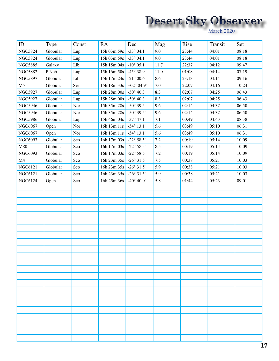| ID             | Type     | Const | <b>RA</b>                                    | Dec                  | Mag  | Rise  | Transit | Set   |
|----------------|----------|-------|----------------------------------------------|----------------------|------|-------|---------|-------|
| <b>NGC5824</b> | Globular | Lup   | $15h$ 03m $59s$                              | $-33^{\circ}$ 04.1'  | 9.0  | 23:44 | 04:01   | 08:18 |
| <b>NGC5824</b> | Globular | Lup   | 15h 03m 59s                                  | $-33^{\circ} 04.1'$  | 9.0  | 23:44 | 04:01   | 08:18 |
| <b>NGC5885</b> | Galaxy   | Lib   | 15h 15m 04s                                  | $-10^{\circ} 05.1'$  | 11.7 | 22:37 | 04:12   | 09:47 |
| <b>NGC5882</b> | P Neb    | Lup   | $15h\ 16m\ 50s$                              | $-45^{\circ} 38.9'$  | 11.0 | 01:08 | 04:14   | 07:19 |
| <b>NGC5897</b> | Globular | Lib   | 15h 17m 24s                                  | $-21^{\circ} 00.6'$  | 8.6  | 23:13 | 04:14   | 09:16 |
| M <sub>5</sub> | Globular | Ser   | 15h 18m 33s                                  | +02 $^{\circ}$ 04.9' | 7.0  | 22:07 | 04:16   | 10:24 |
| <b>NGC5927</b> | Globular | Lup   | $15h\,28m\,00s$                              | $-50^{\circ}$ 40.3'  | 8.3  | 02:07 | 04:25   | 06:43 |
| <b>NGC5927</b> | Globular | Lup   | $15\mathrm{h}$ $28\mathrm{m}$ $00\mathrm{s}$ | $-50^{\circ}$ 40.3'  | 8.3  | 02:07 | 04:25   | 06:43 |
| <b>NGC5946</b> | Globular | Nor   | 15h 35m 28s                                  | $-50^{\circ} 39.5'$  | 9.6  | 02:14 | 04:32   | 06:50 |
| <b>NGC5946</b> | Globular | Nor   | 15h 35m 28s                                  | $-50^{\circ} 39.5'$  | 9.6  | 02:14 | 04:32   | 06:50 |
| <b>NGC5986</b> | Globular | Lup   | 15h 46m 04s                                  | $-37^{\circ}$ 47.1'  | 7.1  | 00:49 | 04:43   | 08:38 |
| NGC6067        | Open     | Nor   | 16h 13m 11s                                  | $-54^{\circ} 13.1'$  | 5.6  | 03:49 | 05:10   | 06:31 |
| NGC6067        | Open     | Nor   | 16h 13m 11s                                  | $-54^{\circ} 13.1'$  | 5.6  | 03:49 | 05:10   | 06:31 |
| <b>NGC6093</b> | Globular | Sco   | 16h 17m 03s                                  | $-22^{\circ} 58.5'$  | 7.2  | 00:19 | 05:14   | 10:09 |
| M80            | Globular | Sco   | 16h 17m 03s                                  | $-22^{\circ} 58.5'$  | 8.5  | 00:19 | 05:14   | 10:09 |
| <b>NGC6093</b> | Globular | Sco   | 16h 17m 03s                                  | $-22^{\circ} 58.5'$  | 7.2  | 00:19 | 05:14   | 10:09 |
| M4             | Globular | Sco   | 16h 23m 35s                                  | $-26^{\circ}31.5'$   | 7.5  | 00:38 | 05:21   | 10:03 |
| <b>NGC6121</b> | Globular | Sco   | 16h 23m 35s                                  | $-26^{\circ}31.5'$   | 5.9  | 00:38 | 05:21   | 10:03 |
| <b>NGC6121</b> | Globular | Sco   | 16h 23m 35s                                  | $-26^{\circ}31.5'$   | 5.9  | 00:38 | 05:21   | 10:03 |
| <b>NGC6124</b> | Open     | Sco   | 16h 25m 36s                                  | $-40^{\circ} 40.0'$  | 5.8  | 01:44 | 05:23   | 09:01 |
|                |          |       |                                              |                      |      |       |         |       |
|                |          |       |                                              |                      |      |       |         |       |
|                |          |       |                                              |                      |      |       |         |       |
|                |          |       |                                              |                      |      |       |         |       |
|                |          |       |                                              |                      |      |       |         |       |
|                |          |       |                                              |                      |      |       |         |       |
|                |          |       |                                              |                      |      |       |         |       |
|                |          |       |                                              |                      |      |       |         |       |
|                |          |       |                                              |                      |      |       |         |       |
|                |          |       |                                              |                      |      |       |         |       |
|                |          |       |                                              |                      |      |       |         |       |
|                |          |       |                                              |                      |      |       |         |       |
|                |          |       |                                              |                      |      |       |         |       |
|                |          |       |                                              |                      |      |       |         |       |
|                |          |       |                                              |                      |      |       |         |       |
|                |          |       |                                              |                      |      |       |         |       |
|                |          |       |                                              |                      |      |       |         |       |
|                |          |       |                                              |                      |      |       |         |       |
|                |          |       |                                              |                      |      |       |         |       |
|                |          |       |                                              |                      |      |       |         |       |
|                |          |       |                                              |                      |      |       |         |       |
|                |          |       |                                              |                      |      |       |         |       |
|                |          |       |                                              |                      |      |       |         |       |